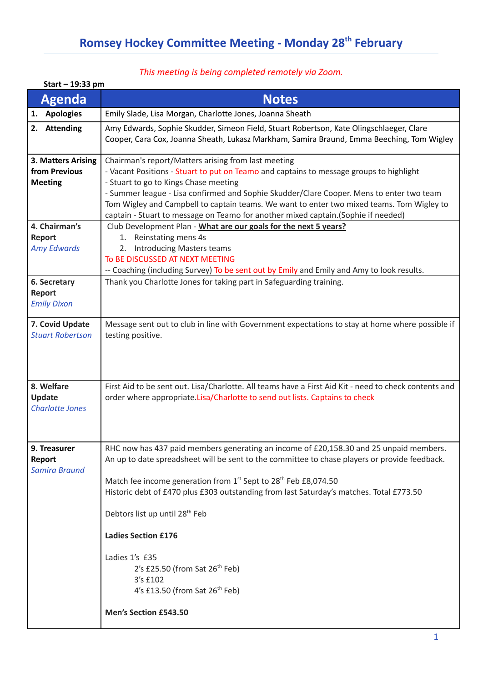## *This meeting is being completed remotely via Zoom.*

| Start - 19:33 pm                                      |                                                                                                                                                                                                                                                                                                                                                                                                                                                                                                                                                                                                                                                                                                                                      |  |  |
|-------------------------------------------------------|--------------------------------------------------------------------------------------------------------------------------------------------------------------------------------------------------------------------------------------------------------------------------------------------------------------------------------------------------------------------------------------------------------------------------------------------------------------------------------------------------------------------------------------------------------------------------------------------------------------------------------------------------------------------------------------------------------------------------------------|--|--|
| <b>Agenda</b>                                         | <b>Notes</b>                                                                                                                                                                                                                                                                                                                                                                                                                                                                                                                                                                                                                                                                                                                         |  |  |
| <b>Apologies</b><br>1.                                | Emily Slade, Lisa Morgan, Charlotte Jones, Joanna Sheath                                                                                                                                                                                                                                                                                                                                                                                                                                                                                                                                                                                                                                                                             |  |  |
| 2. Attending                                          | Amy Edwards, Sophie Skudder, Simeon Field, Stuart Robertson, Kate Olingschlaeger, Clare<br>Cooper, Cara Cox, Joanna Sheath, Lukasz Markham, Samira Braund, Emma Beeching, Tom Wigley                                                                                                                                                                                                                                                                                                                                                                                                                                                                                                                                                 |  |  |
| 3. Matters Arising<br>from Previous<br><b>Meeting</b> | Chairman's report/Matters arising from last meeting<br>- Vacant Positions - Stuart to put on Teamo and captains to message groups to highlight<br>- Stuart to go to Kings Chase meeting<br>- Summer league - Lisa confirmed and Sophie Skudder/Clare Cooper. Mens to enter two team<br>Tom Wigley and Campbell to captain teams. We want to enter two mixed teams. Tom Wigley to<br>captain - Stuart to message on Teamo for another mixed captain. (Sophie if needed)<br>Club Development Plan - What are our goals for the next 5 years?<br>1. Reinstating mens 4s<br>2. Introducing Masters teams<br>TO BE DISCUSSED AT NEXT MEETING<br>-- Coaching (including Survey) To be sent out by Emily and Emily and Amy to look results. |  |  |
| 4. Chairman's<br>Report<br><b>Amy Edwards</b>         |                                                                                                                                                                                                                                                                                                                                                                                                                                                                                                                                                                                                                                                                                                                                      |  |  |
| 6. Secretary<br><b>Report</b><br><b>Emily Dixon</b>   | Thank you Charlotte Jones for taking part in Safeguarding training.                                                                                                                                                                                                                                                                                                                                                                                                                                                                                                                                                                                                                                                                  |  |  |
| 7. Covid Update<br><b>Stuart Robertson</b>            | Message sent out to club in line with Government expectations to stay at home where possible if<br>testing positive.                                                                                                                                                                                                                                                                                                                                                                                                                                                                                                                                                                                                                 |  |  |
| 8. Welfare<br>Update<br><b>Charlotte Jones</b>        | First Aid to be sent out. Lisa/Charlotte. All teams have a First Aid Kit - need to check contents and<br>order where appropriate. Lisa/Charlotte to send out lists. Captains to check                                                                                                                                                                                                                                                                                                                                                                                                                                                                                                                                                |  |  |
| 9. Treasurer<br>Report<br><b>Samira Braund</b>        | RHC now has 437 paid members generating an income of £20,158.30 and 25 unpaid members.<br>An up to date spreadsheet will be sent to the committee to chase players or provide feedback.<br>Match fee income generation from 1 <sup>st</sup> Sept to 28 <sup>th</sup> Feb £8,074.50<br>Historic debt of £470 plus £303 outstanding from last Saturday's matches. Total £773.50<br>Debtors list up until 28 <sup>th</sup> Feb<br><b>Ladies Section £176</b><br>Ladies 1's £35<br>2's £25.50 (from Sat $26th$ Feb)<br>3's £102<br>4's £13.50 (from Sat 26 <sup>th</sup> Feb)<br>Men's Section £543.50                                                                                                                                   |  |  |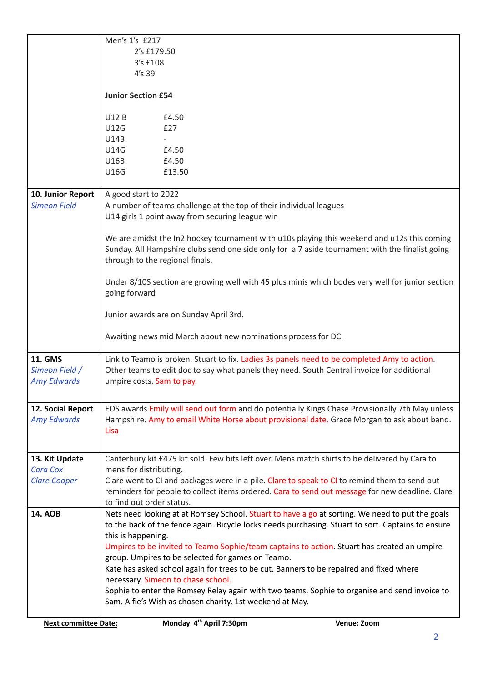|                             | Men's 1's £217                                                                                                               |             |  |
|-----------------------------|------------------------------------------------------------------------------------------------------------------------------|-------------|--|
|                             | 2's £179.50<br>3's £108                                                                                                      |             |  |
|                             | 4's 39                                                                                                                       |             |  |
|                             |                                                                                                                              |             |  |
|                             | <b>Junior Section £54</b>                                                                                                    |             |  |
|                             | <b>U12B</b><br>£4.50                                                                                                         |             |  |
|                             | <b>U12G</b><br>£27                                                                                                           |             |  |
|                             | <b>U14B</b>                                                                                                                  |             |  |
|                             | <b>U14G</b><br>£4.50                                                                                                         |             |  |
|                             | <b>U16B</b><br>£4.50                                                                                                         |             |  |
|                             | U16G<br>£13.50                                                                                                               |             |  |
| 10. Junior Report           | A good start to 2022                                                                                                         |             |  |
| <b>Simeon Field</b>         | A number of teams challenge at the top of their individual leagues                                                           |             |  |
|                             | U14 girls 1 point away from securing league win                                                                              |             |  |
|                             | We are amidst the In2 hockey tournament with u10s playing this weekend and u12s this coming                                  |             |  |
|                             | Sunday. All Hampshire clubs send one side only for a 7 aside tournament with the finalist going                              |             |  |
|                             | through to the regional finals.                                                                                              |             |  |
|                             |                                                                                                                              |             |  |
|                             | Under 8/10S section are growing well with 45 plus minis which bodes very well for junior section<br>going forward            |             |  |
|                             |                                                                                                                              |             |  |
|                             | Junior awards are on Sunday April 3rd.                                                                                       |             |  |
|                             | Awaiting news mid March about new nominations process for DC.                                                                |             |  |
| <b>11. GMS</b>              | Link to Teamo is broken. Stuart to fix. Ladies 3s panels need to be completed Amy to action.                                 |             |  |
| Simeon Field /              | Other teams to edit doc to say what panels they need. South Central invoice for additional                                   |             |  |
| <b>Amy Edwards</b>          | umpire costs. Sam to pay.                                                                                                    |             |  |
|                             |                                                                                                                              |             |  |
| 12. Social Report           | EOS awards Emily will send out form and do potentially Kings Chase Provisionally 7th May unless                              |             |  |
| <b>Amy Edwards</b>          | Hampshire. Amy to email White Horse about provisional date. Grace Morgan to ask about band.                                  |             |  |
|                             | Lisa                                                                                                                         |             |  |
|                             |                                                                                                                              |             |  |
| 13. Kit Update              | Canterbury kit £475 kit sold. Few bits left over. Mens match shirts to be delivered by Cara to                               |             |  |
| <b>Cara Cox</b>             | mens for distributing.                                                                                                       |             |  |
| <b>Clare Cooper</b>         | Clare went to CI and packages were in a pile. Clare to speak to CI to remind them to send out                                |             |  |
|                             | reminders for people to collect items ordered. Cara to send out message for new deadline. Clare<br>to find out order status. |             |  |
| <b>14. AOB</b>              | Nets need looking at at Romsey School. Stuart to have a go at sorting. We need to put the goals                              |             |  |
|                             | to the back of the fence again. Bicycle locks needs purchasing. Stuart to sort. Captains to ensure                           |             |  |
|                             | this is happening.                                                                                                           |             |  |
|                             | Umpires to be invited to Teamo Sophie/team captains to action. Stuart has created an umpire                                  |             |  |
|                             | group. Umpires to be selected for games on Teamo.                                                                            |             |  |
|                             | Kate has asked school again for trees to be cut. Banners to be repaired and fixed where                                      |             |  |
|                             | necessary. Simeon to chase school.                                                                                           |             |  |
|                             | Sophie to enter the Romsey Relay again with two teams. Sophie to organise and send invoice to                                |             |  |
|                             | Sam. Alfie's Wish as chosen charity. 1st weekend at May.                                                                     |             |  |
| <b>Next committee Date:</b> | Monday 4 <sup>th</sup> April 7:30pm                                                                                          | Venue: Zoom |  |